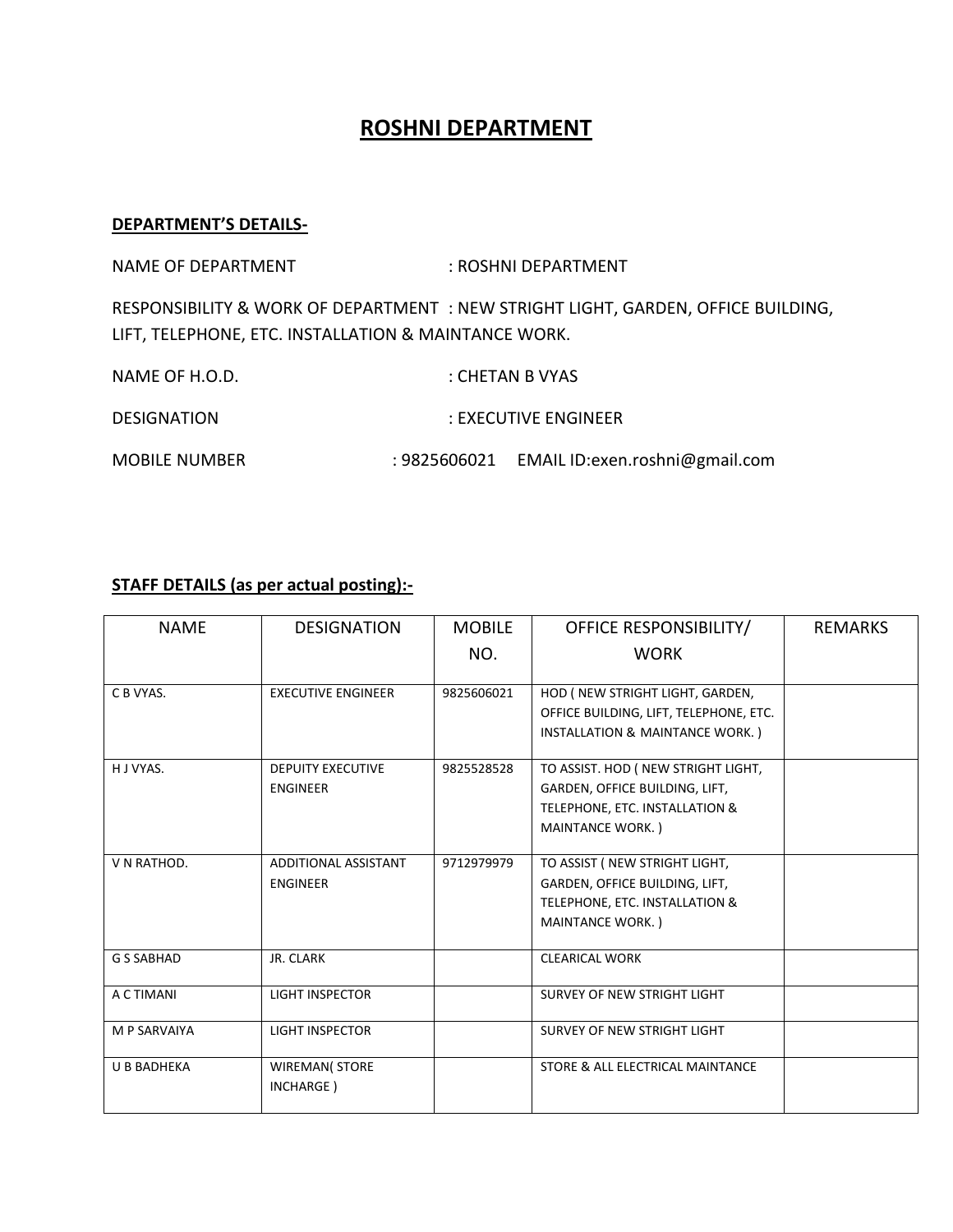## **ROSHNI DEPARTMENT**

## **DEPARTMENT'S DETAILS-**

NAME OF DEPARTMENT : ROSHNI DEPARTMENT

RESPONSIBILITY & WORK OF DEPARTMENT : NEW STRIGHT LIGHT, GARDEN, OFFICE BUILDING, LIFT, TELEPHONE, ETC. INSTALLATION & MAINTANCE WORK.

| NAME OF H.O.D.       | : CHETAN B VYAS                             |
|----------------------|---------------------------------------------|
| <b>DESIGNATION</b>   | : EXECUTIVE ENGINEER                        |
| <b>MOBILE NUMBER</b> | : 9825606021 EMAIL ID:exen.roshni@gmail.com |

## **STAFF DETAILS (as per actual posting):-**

| <b>NAMF</b>        | <b>DESIGNATION</b>                      | <b>MOBILE</b> | OFFICE RESPONSIBILITY/                                                                                                             | <b>REMARKS</b> |
|--------------------|-----------------------------------------|---------------|------------------------------------------------------------------------------------------------------------------------------------|----------------|
|                    |                                         | NO.           | <b>WORK</b>                                                                                                                        |                |
| C B VYAS.          | <b>EXECUTIVE ENGINEER</b>               | 9825606021    | HOD ( NEW STRIGHT LIGHT, GARDEN,<br>OFFICE BUILDING, LIFT, TELEPHONE, ETC.<br>INSTALLATION & MAINTANCE WORK.)                      |                |
| H J VYAS.          | <b>DEPUITY EXECUTIVE</b><br>ENGINEER    | 9825528528    | TO ASSIST. HOD ( NEW STRIGHT LIGHT,<br>GARDEN, OFFICE BUILDING, LIFT,<br>TELEPHONE, ETC. INSTALLATION &<br><b>MAINTANCE WORK.)</b> |                |
| V N RATHOD.        | ADDITIONAL ASSISTANT<br><b>ENGINEER</b> | 9712979979    | TO ASSIST ( NEW STRIGHT LIGHT,<br>GARDEN, OFFICE BUILDING, LIFT,<br>TELEPHONE, ETC. INSTALLATION &<br><b>MAINTANCE WORK.)</b>      |                |
| <b>G S SABHAD</b>  | JR. CLARK                               |               | <b>CLEARICAL WORK</b>                                                                                                              |                |
| A C TIMANI         | <b>LIGHT INSPECTOR</b>                  |               | SURVEY OF NEW STRIGHT LIGHT                                                                                                        |                |
| M P SARVAIYA       | <b>LIGHT INSPECTOR</b>                  |               | SURVEY OF NEW STRIGHT LIGHT                                                                                                        |                |
| <b>U B BADHEKA</b> | <b>WIREMAN(STORE</b><br>INCHARGE)       |               | STORE & ALL ELECTRICAL MAINTANCE                                                                                                   |                |